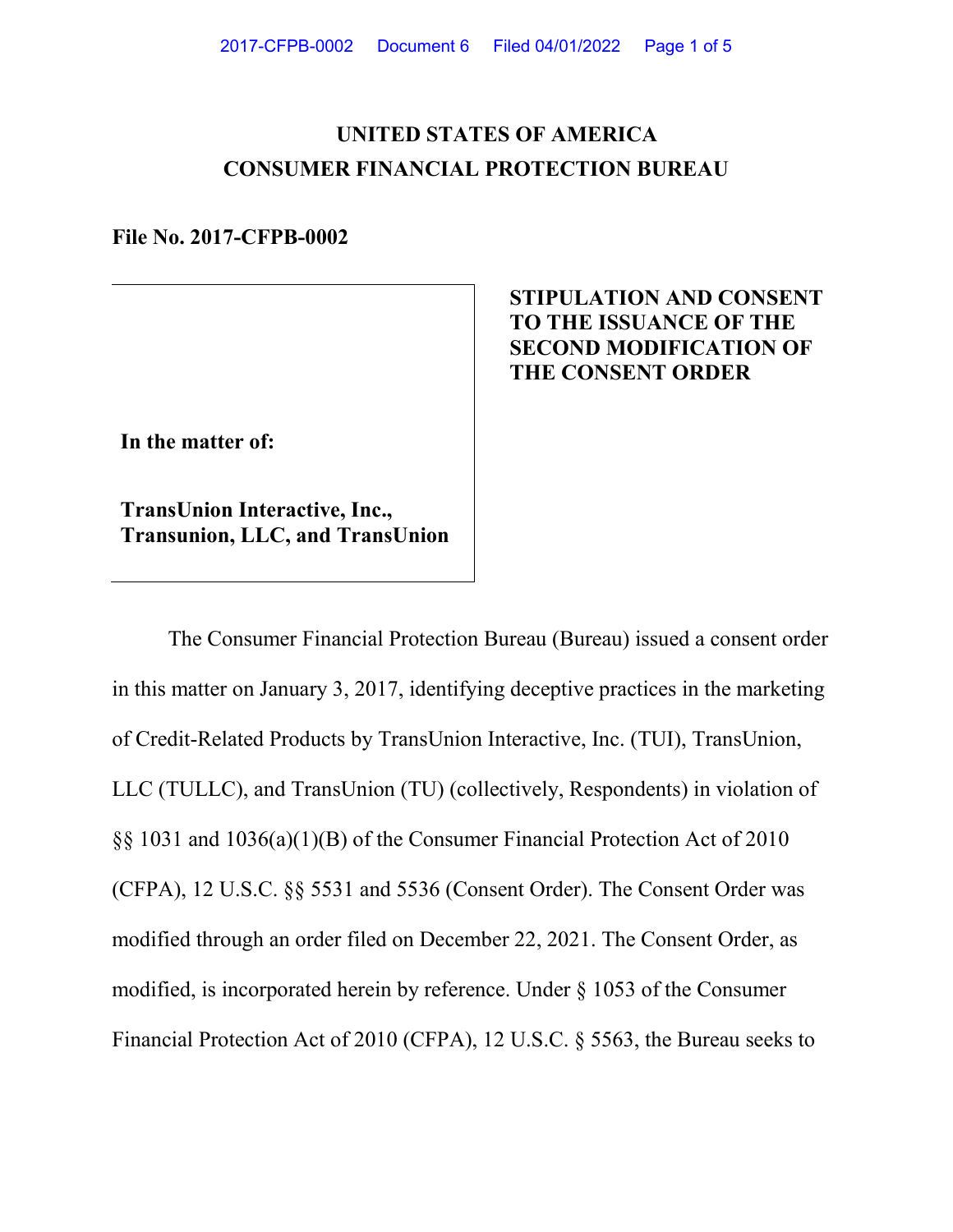# **UNITED STATES OF AMERICA CONSUMER FINANCIAL PROTECTION BUREAU**

**File No. 2017-CFPB-0002**

## **STIPULATION AND CONSENT TO THE ISSUANCE OF THE SECOND MODIFICATION OF THE CONSENT ORDER**

**In the matter of:**

**TransUnion Interactive, Inc., Transunion, LLC, and TransUnion**

The Consumer Financial Protection Bureau (Bureau) issued a consent order in this matter on January 3, 2017, identifying deceptive practices in the marketing of Credit-Related Products by TransUnion Interactive, Inc. (TUI), TransUnion, LLC (TULLC), and TransUnion (TU) (collectively, Respondents) in violation of §§ 1031 and 1036(a)(1)(B) of the Consumer Financial Protection Act of 2010 (CFPA), 12 U.S.C. §§ 5531 and 5536 (Consent Order). The Consent Order was modified through an order filed on December 22, 2021. The Consent Order, as modified, is incorporated herein by reference. Under § 1053 of the Consumer Financial Protection Act of 2010 (CFPA), 12 U.S.C. § 5563, the Bureau seeks to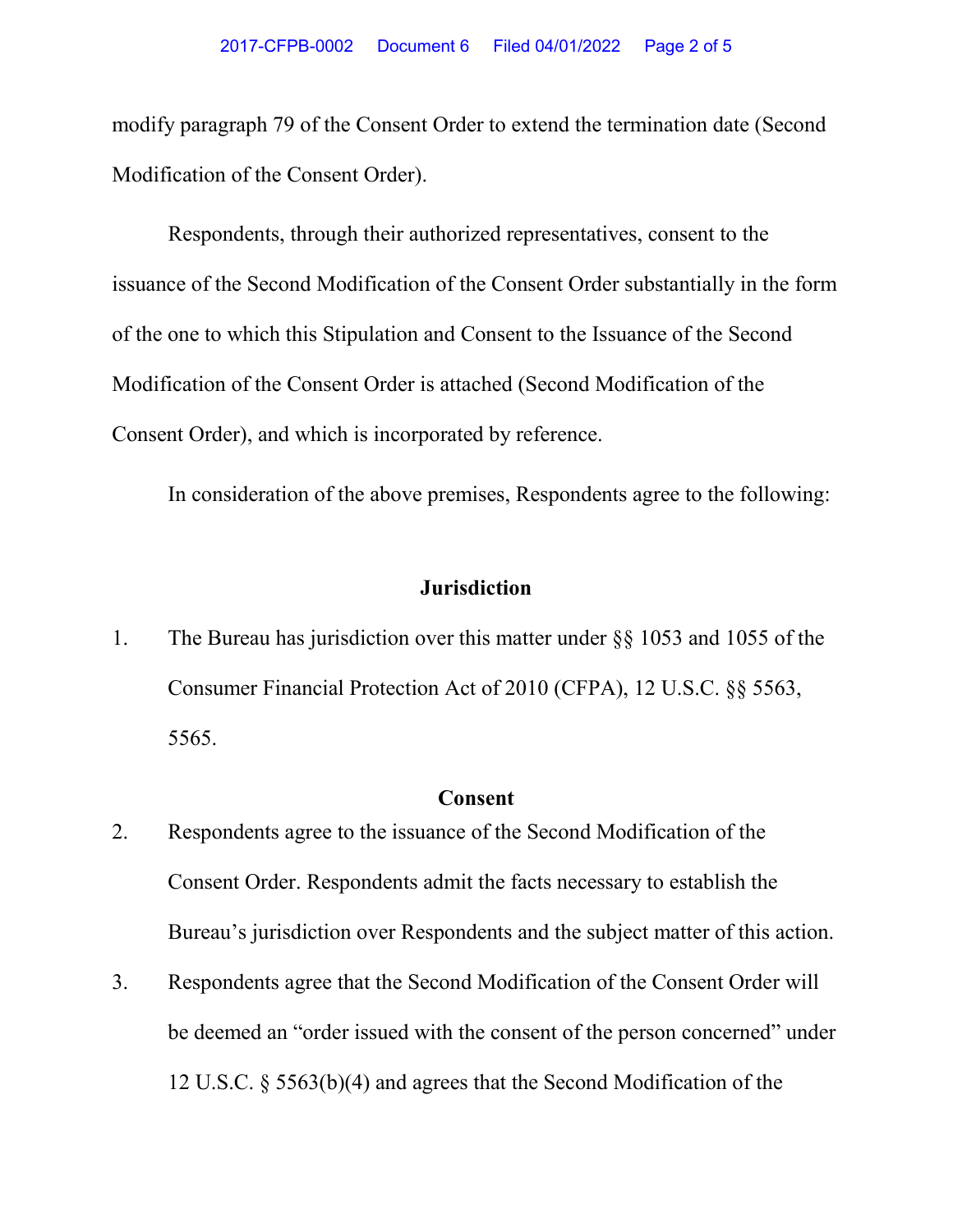modify paragraph 79 of the Consent Order to extend the termination date (Second Modification of the Consent Order).

Respondents, through their authorized representatives, consent to the issuance of the Second Modification of the Consent Order substantially in the form of the one to which this Stipulation and Consent to the Issuance of the Second Modification of the Consent Order is attached (Second Modification of the Consent Order), and which is incorporated by reference.

In consideration of the above premises, Respondents agree to the following:

## **Jurisdiction**

1. The Bureau has jurisdiction over this matter under §§ 1053 and 1055 of the Consumer Financial Protection Act of 2010 (CFPA), 12 U.S.C. §§ 5563, 5565.

#### **Consent**

- 2. Respondents agree to the issuance of the Second Modification of the Consent Order. Respondents admit the facts necessary to establish the Bureau's jurisdiction over Respondents and the subject matter of this action.
- 3. Respondents agree that the Second Modification of the Consent Order will be deemed an "order issued with the consent of the person concerned" under 12 U.S.C. § 5563(b)(4) and agrees that the Second Modification of the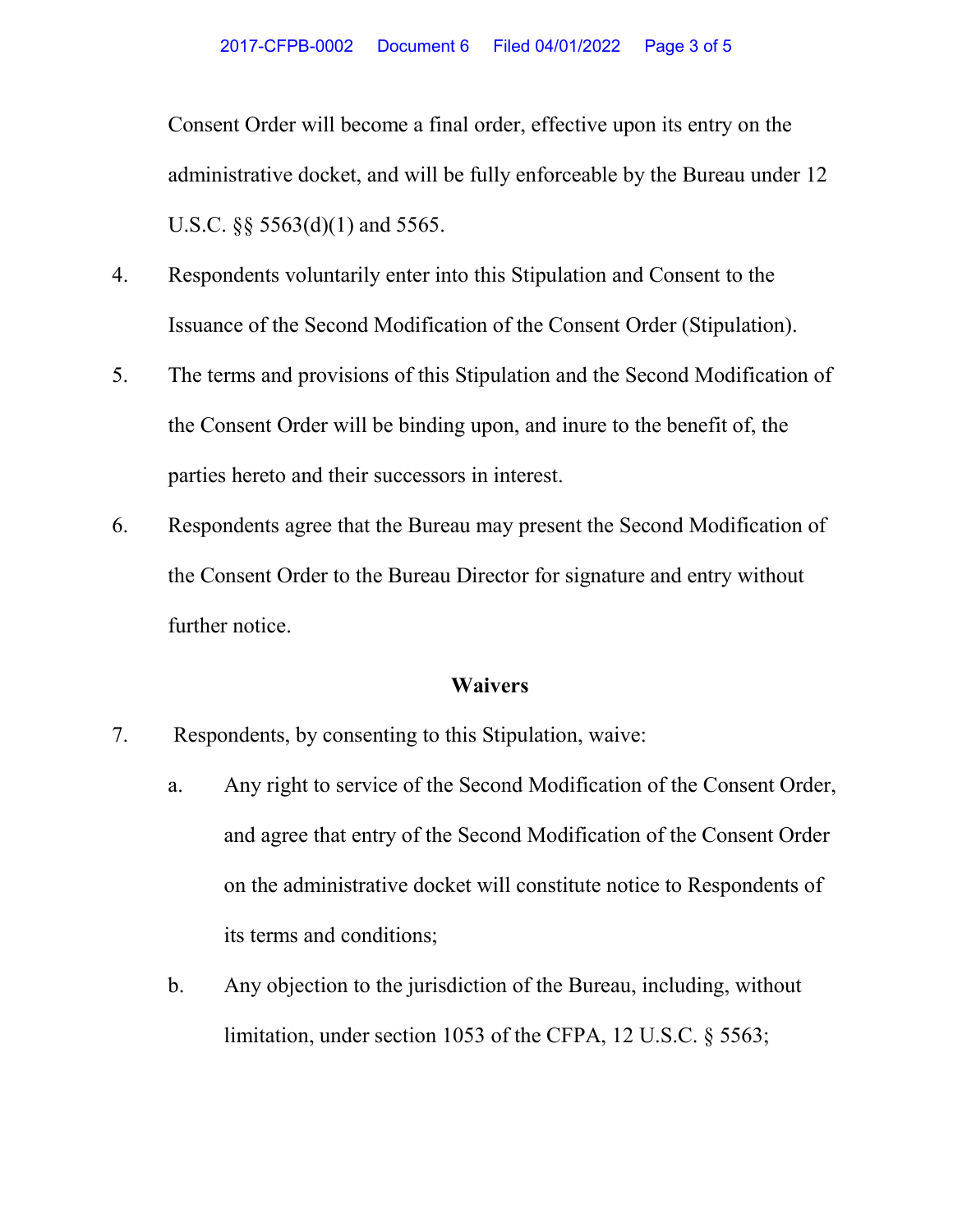Consent Order will become a final order, effective upon its entry on the administrative docket, and will be fully enforceable by the Bureau under 12 U.S.C.  $\S$ § 5563(d)(1) and 5565.

- 4. Respondents voluntarily enter into this Stipulation and Consent to the Issuance of the Second Modification of the Consent Order (Stipulation).
- 5. The terms and provisions of this Stipulation and the Second Modification of the Consent Order will be binding upon, and inure to the benefit of, the parties hereto and their successors in interest.
- 6. Respondents agree that the Bureau may present the Second Modification of the Consent Order to the Bureau Director for signature and entry without further notice.

#### **Waivers**

- 7. Respondents, by consenting to this Stipulation, waive:
	- a. Any right to service of the Second Modification of the Consent Order, and agree that entry of the Second Modification of the Consent Order on the administrative docket will constitute notice to Respondents of its terms and conditions;
	- b. Any objection to the jurisdiction of the Bureau, including, without limitation, under section 1053 of the CFPA, 12 U.S.C. § 5563;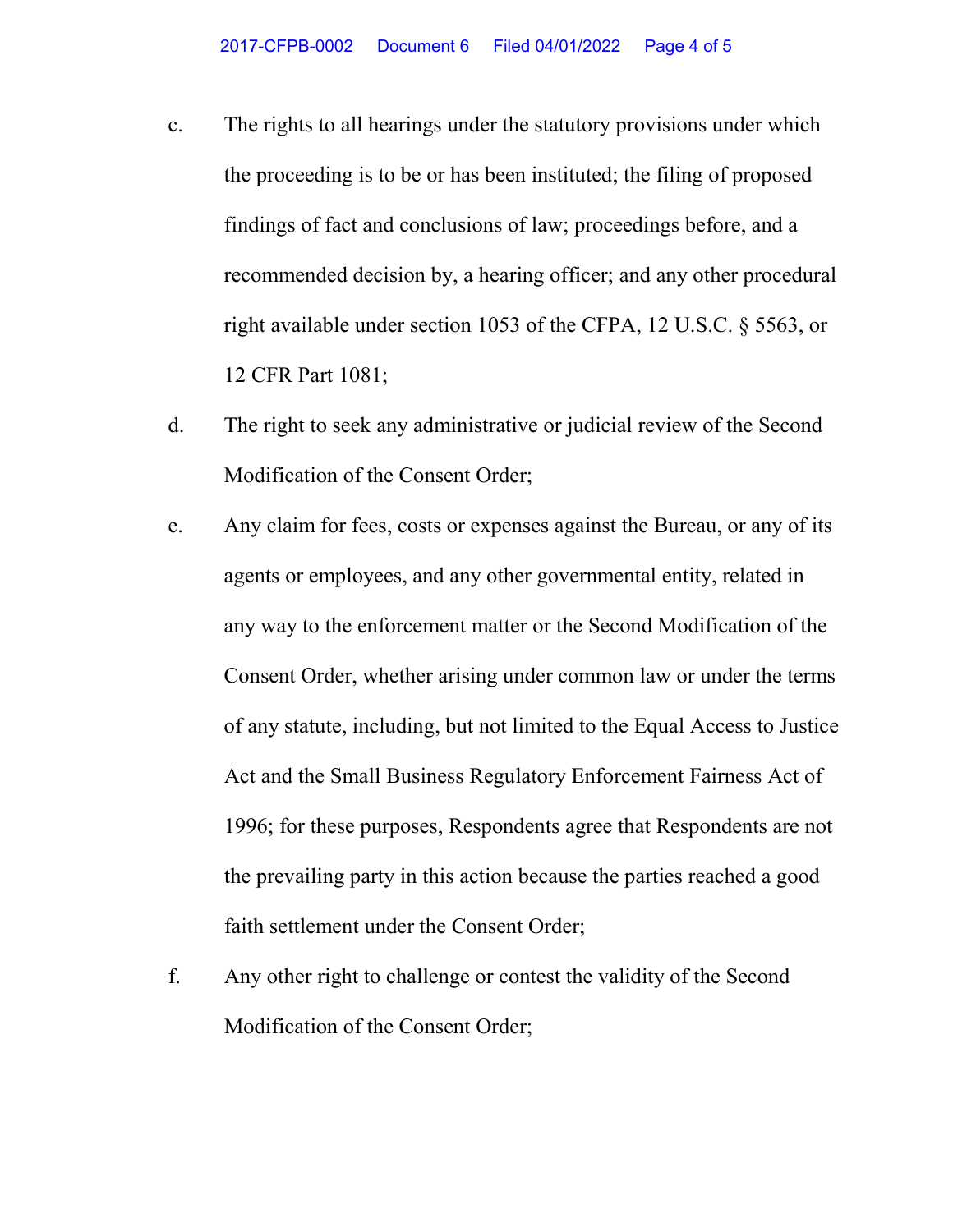- c. The rights to all hearings under the statutory provisions under which the proceeding is to be or has been instituted; the filing of proposed findings of fact and conclusions of law; proceedings before, and a recommended decision by, a hearing officer; and any other procedural right available under section 1053 of the CFPA, 12 U.S.C. § 5563, or 12 CFR Part 1081;
- d. The right to seek any administrative or judicial review of the Second Modification of the Consent Order;
- e. Any claim for fees, costs or expenses against the Bureau, or any of its agents or employees, and any other governmental entity, related in any way to the enforcement matter or the Second Modification of the Consent Order, whether arising under common law or under the terms of any statute, including, but not limited to the Equal Access to Justice Act and the Small Business Regulatory Enforcement Fairness Act of 1996; for these purposes, Respondents agree that Respondents are not the prevailing party in this action because the parties reached a good faith settlement under the Consent Order;
- f. Any other right to challenge or contest the validity of the Second Modification of the Consent Order;